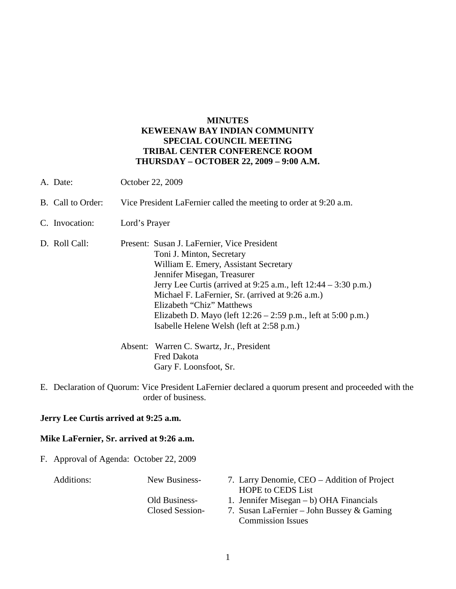## **MINUTES KEWEENAW BAY INDIAN COMMUNITY SPECIAL COUNCIL MEETING TRIBAL CENTER CONFERENCE ROOM THURSDAY – OCTOBER 22, 2009 – 9:00 A.M.**

- A. Date: October 22, 2009 B. Call to Order: Vice President LaFernier called the meeting to order at 9:20 a.m. C. Invocation: Lord's Prayer D. Roll Call: Present: Susan J. LaFernier, Vice President Toni J. Minton, Secretary William E. Emery, Assistant Secretary Jennifer Misegan, Treasurer Jerry Lee Curtis (arrived at 9:25 a.m., left 12:44 – 3:30 p.m.) Michael F. LaFernier, Sr. (arrived at 9:26 a.m.) Elizabeth "Chiz" Matthews Elizabeth D. Mayo (left 12:26 – 2:59 p.m., left at 5:00 p.m.) Isabelle Helene Welsh (left at 2:58 p.m.) Absent: Warren C. Swartz, Jr., President Fred Dakota Gary F. Loonsfoot, Sr.
- E. Declaration of Quorum: Vice President LaFernier declared a quorum present and proceeded with the order of business.

## **Jerry Lee Curtis arrived at 9:25 a.m.**

## **Mike LaFernier, Sr. arrived at 9:26 a.m.**

F. Approval of Agenda: October 22, 2009

- Additions: New Business- 7. Larry Denomie, CEO Addition of Project HOPE to CEDS List
	- Old Business- 1. Jennifer Misegan b) OHA Financials
	- Closed Session- 7. Susan LaFernier John Bussey & Gaming Commission Issues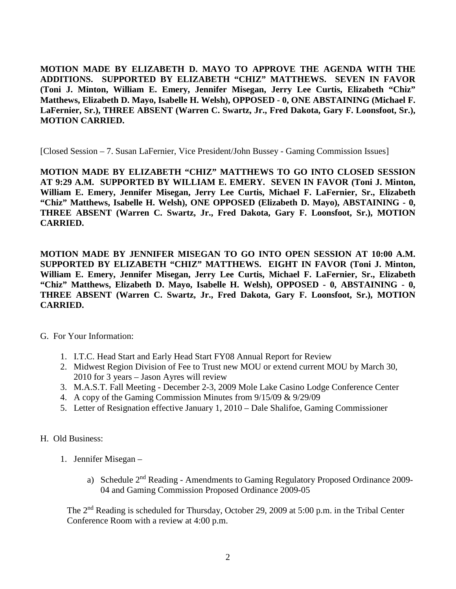**MOTION MADE BY ELIZABETH D. MAYO TO APPROVE THE AGENDA WITH THE ADDITIONS. SUPPORTED BY ELIZABETH "CHIZ" MATTHEWS. SEVEN IN FAVOR (Toni J. Minton, William E. Emery, Jennifer Misegan, Jerry Lee Curtis, Elizabeth "Chiz" Matthews, Elizabeth D. Mayo, Isabelle H. Welsh), OPPOSED - 0, ONE ABSTAINING (Michael F. LaFernier, Sr.), THREE ABSENT (Warren C. Swartz, Jr., Fred Dakota, Gary F. Loonsfoot, Sr.), MOTION CARRIED.**

[Closed Session – 7. Susan LaFernier, Vice President/John Bussey - Gaming Commission Issues]

**MOTION MADE BY ELIZABETH "CHIZ" MATTHEWS TO GO INTO CLOSED SESSION AT 9:29 A.M. SUPPORTED BY WILLIAM E. EMERY. SEVEN IN FAVOR (Toni J. Minton, William E. Emery, Jennifer Misegan, Jerry Lee Curtis, Michael F. LaFernier, Sr., Elizabeth "Chiz" Matthews, Isabelle H. Welsh), ONE OPPOSED (Elizabeth D. Mayo), ABSTAINING - 0, THREE ABSENT (Warren C. Swartz, Jr., Fred Dakota, Gary F. Loonsfoot, Sr.), MOTION CARRIED.**

**MOTION MADE BY JENNIFER MISEGAN TO GO INTO OPEN SESSION AT 10:00 A.M. SUPPORTED BY ELIZABETH "CHIZ" MATTHEWS. EIGHT IN FAVOR (Toni J. Minton, William E. Emery, Jennifer Misegan, Jerry Lee Curtis, Michael F. LaFernier, Sr., Elizabeth "Chiz" Matthews, Elizabeth D. Mayo, Isabelle H. Welsh), OPPOSED - 0, ABSTAINING - 0, THREE ABSENT (Warren C. Swartz, Jr., Fred Dakota, Gary F. Loonsfoot, Sr.), MOTION CARRIED.**

G. For Your Information:

- 1. I.T.C. Head Start and Early Head Start FY08 Annual Report for Review
- 2. Midwest Region Division of Fee to Trust new MOU or extend current MOU by March 30, 2010 for 3 years – Jason Ayres will review
- 3. M.A.S.T. Fall Meeting December 2-3, 2009 Mole Lake Casino Lodge Conference Center
- 4. A copy of the Gaming Commission Minutes from 9/15/09 & 9/29/09
- 5. Letter of Resignation effective January 1, 2010 Dale Shalifoe, Gaming Commissioner
- H. Old Business:
	- 1. Jennifer Misegan
		- a) Schedule 2<sup>nd</sup> Reading Amendments to Gaming Regulatory Proposed Ordinance 2009-04 and Gaming Commission Proposed Ordinance 2009-05

The 2<sup>nd</sup> Reading is scheduled for Thursday, October 29, 2009 at 5:00 p.m. in the Tribal Center Conference Room with a review at 4:00 p.m.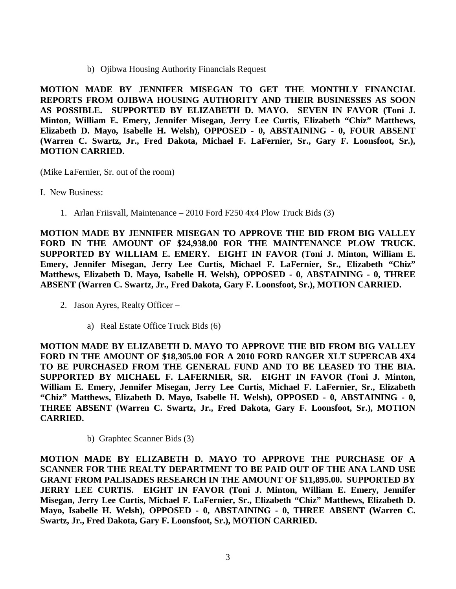b) Ojibwa Housing Authority Financials Request

**MOTION MADE BY JENNIFER MISEGAN TO GET THE MONTHLY FINANCIAL REPORTS FROM OJIBWA HOUSING AUTHORITY AND THEIR BUSINESSES AS SOON AS POSSIBLE. SUPPORTED BY ELIZABETH D. MAYO. SEVEN IN FAVOR (Toni J. Minton, William E. Emery, Jennifer Misegan, Jerry Lee Curtis, Elizabeth "Chiz" Matthews, Elizabeth D. Mayo, Isabelle H. Welsh), OPPOSED - 0, ABSTAINING - 0, FOUR ABSENT (Warren C. Swartz, Jr., Fred Dakota, Michael F. LaFernier, Sr., Gary F. Loonsfoot, Sr.), MOTION CARRIED.**

(Mike LaFernier, Sr. out of the room)

I. New Business:

1. Arlan Friisvall, Maintenance – 2010 Ford F250 4x4 Plow Truck Bids (3)

**MOTION MADE BY JENNIFER MISEGAN TO APPROVE THE BID FROM BIG VALLEY FORD IN THE AMOUNT OF \$24,938.00 FOR THE MAINTENANCE PLOW TRUCK. SUPPORTED BY WILLIAM E. EMERY. EIGHT IN FAVOR (Toni J. Minton, William E. Emery, Jennifer Misegan, Jerry Lee Curtis, Michael F. LaFernier, Sr., Elizabeth "Chiz" Matthews, Elizabeth D. Mayo, Isabelle H. Welsh), OPPOSED - 0, ABSTAINING - 0, THREE ABSENT (Warren C. Swartz, Jr., Fred Dakota, Gary F. Loonsfoot, Sr.), MOTION CARRIED.**

- 2. Jason Ayres, Realty Officer
	- a) Real Estate Office Truck Bids (6)

**MOTION MADE BY ELIZABETH D. MAYO TO APPROVE THE BID FROM BIG VALLEY FORD IN THE AMOUNT OF \$18,305.00 FOR A 2010 FORD RANGER XLT SUPERCAB 4X4 TO BE PURCHASED FROM THE GENERAL FUND AND TO BE LEASED TO THE BIA. SUPPORTED BY MICHAEL F. LAFERNIER, SR. EIGHT IN FAVOR (Toni J. Minton, William E. Emery, Jennifer Misegan, Jerry Lee Curtis, Michael F. LaFernier, Sr., Elizabeth "Chiz" Matthews, Elizabeth D. Mayo, Isabelle H. Welsh), OPPOSED - 0, ABSTAINING - 0, THREE ABSENT (Warren C. Swartz, Jr., Fred Dakota, Gary F. Loonsfoot, Sr.), MOTION CARRIED.**

b) Graphtec Scanner Bids (3)

**MOTION MADE BY ELIZABETH D. MAYO TO APPROVE THE PURCHASE OF A SCANNER FOR THE REALTY DEPARTMENT TO BE PAID OUT OF THE ANA LAND USE GRANT FROM PALISADES RESEARCH IN THE AMOUNT OF \$11,895.00. SUPPORTED BY JERRY LEE CURTIS. EIGHT IN FAVOR (Toni J. Minton, William E. Emery, Jennifer Misegan, Jerry Lee Curtis, Michael F. LaFernier, Sr., Elizabeth "Chiz" Matthews, Elizabeth D. Mayo, Isabelle H. Welsh), OPPOSED - 0, ABSTAINING - 0, THREE ABSENT (Warren C. Swartz, Jr., Fred Dakota, Gary F. Loonsfoot, Sr.), MOTION CARRIED.**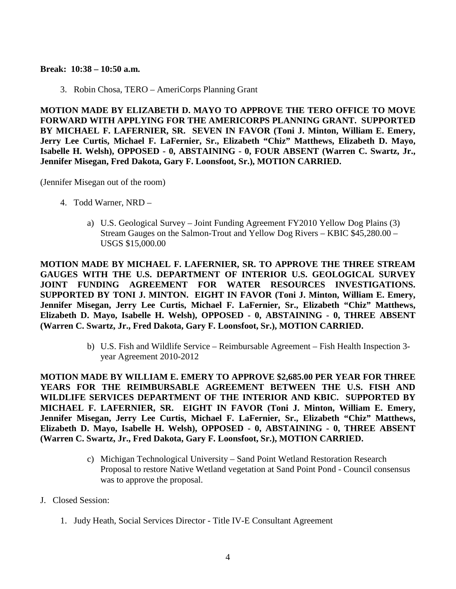**Break: 10:38 – 10:50 a.m.**

3. Robin Chosa, TERO – AmeriCorps Planning Grant

**MOTION MADE BY ELIZABETH D. MAYO TO APPROVE THE TERO OFFICE TO MOVE FORWARD WITH APPLYING FOR THE AMERICORPS PLANNING GRANT. SUPPORTED BY MICHAEL F. LAFERNIER, SR. SEVEN IN FAVOR (Toni J. Minton, William E. Emery, Jerry Lee Curtis, Michael F. LaFernier, Sr., Elizabeth "Chiz" Matthews, Elizabeth D. Mayo, Isabelle H. Welsh), OPPOSED - 0, ABSTAINING - 0, FOUR ABSENT (Warren C. Swartz, Jr., Jennifer Misegan, Fred Dakota, Gary F. Loonsfoot, Sr.), MOTION CARRIED.**

(Jennifer Misegan out of the room)

- 4. Todd Warner, NRD
	- a) U.S. Geological Survey Joint Funding Agreement FY2010 Yellow Dog Plains (3) Stream Gauges on the Salmon-Trout and Yellow Dog Rivers – KBIC \$45,280.00 – USGS \$15,000.00

**MOTION MADE BY MICHAEL F. LAFERNIER, SR. TO APPROVE THE THREE STREAM GAUGES WITH THE U.S. DEPARTMENT OF INTERIOR U.S. GEOLOGICAL SURVEY JOINT FUNDING AGREEMENT FOR WATER RESOURCES INVESTIGATIONS. SUPPORTED BY TONI J. MINTON. EIGHT IN FAVOR (Toni J. Minton, William E. Emery, Jennifer Misegan, Jerry Lee Curtis, Michael F. LaFernier, Sr., Elizabeth "Chiz" Matthews, Elizabeth D. Mayo, Isabelle H. Welsh), OPPOSED - 0, ABSTAINING - 0, THREE ABSENT (Warren C. Swartz, Jr., Fred Dakota, Gary F. Loonsfoot, Sr.), MOTION CARRIED.**

> b) U.S. Fish and Wildlife Service – Reimbursable Agreement – Fish Health Inspection 3 year Agreement 2010-2012

**MOTION MADE BY WILLIAM E. EMERY TO APPROVE \$2,685.00 PER YEAR FOR THREE YEARS FOR THE REIMBURSABLE AGREEMENT BETWEEN THE U.S. FISH AND WILDLIFE SERVICES DEPARTMENT OF THE INTERIOR AND KBIC. SUPPORTED BY MICHAEL F. LAFERNIER, SR. EIGHT IN FAVOR (Toni J. Minton, William E. Emery, Jennifer Misegan, Jerry Lee Curtis, Michael F. LaFernier, Sr., Elizabeth "Chiz" Matthews, Elizabeth D. Mayo, Isabelle H. Welsh), OPPOSED - 0, ABSTAINING - 0, THREE ABSENT (Warren C. Swartz, Jr., Fred Dakota, Gary F. Loonsfoot, Sr.), MOTION CARRIED.**

- c) Michigan Technological University Sand Point Wetland Restoration Research Proposal to restore Native Wetland vegetation at Sand Point Pond - Council consensus was to approve the proposal.
- J. Closed Session:
	- 1. Judy Heath, Social Services Director Title IV-E Consultant Agreement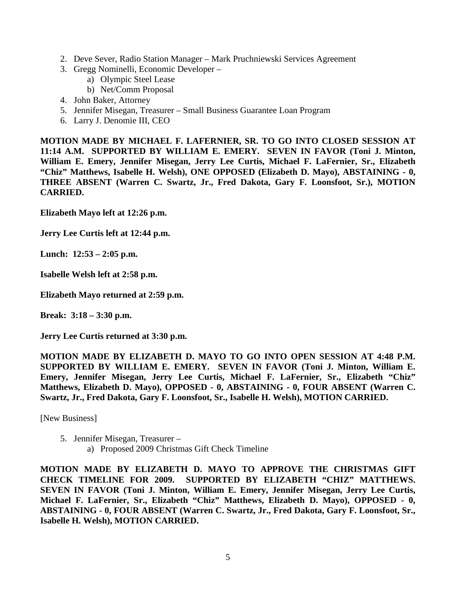- 2. Deve Sever, Radio Station Manager Mark Pruchniewski Services Agreement
- 3. Gregg Nominelli, Economic Developer
	- a) Olympic Steel Lease
	- b) Net/Comm Proposal
- 4. John Baker, Attorney
- 5. Jennifer Misegan, Treasurer Small Business Guarantee Loan Program
- 6. Larry J. Denomie III, CEO

**MOTION MADE BY MICHAEL F. LAFERNIER, SR. TO GO INTO CLOSED SESSION AT 11:14 A.M. SUPPORTED BY WILLIAM E. EMERY. SEVEN IN FAVOR (Toni J. Minton, William E. Emery, Jennifer Misegan, Jerry Lee Curtis, Michael F. LaFernier, Sr., Elizabeth "Chiz" Matthews, Isabelle H. Welsh), ONE OPPOSED (Elizabeth D. Mayo), ABSTAINING - 0, THREE ABSENT (Warren C. Swartz, Jr., Fred Dakota, Gary F. Loonsfoot, Sr.), MOTION CARRIED.**

**Elizabeth Mayo left at 12:26 p.m.**

**Jerry Lee Curtis left at 12:44 p.m.**

**Lunch: 12:53 – 2:05 p.m.**

**Isabelle Welsh left at 2:58 p.m.**

**Elizabeth Mayo returned at 2:59 p.m.**

**Break: 3:18 – 3:30 p.m.**

**Jerry Lee Curtis returned at 3:30 p.m.**

**MOTION MADE BY ELIZABETH D. MAYO TO GO INTO OPEN SESSION AT 4:48 P.M. SUPPORTED BY WILLIAM E. EMERY. SEVEN IN FAVOR (Toni J. Minton, William E. Emery, Jennifer Misegan, Jerry Lee Curtis, Michael F. LaFernier, Sr., Elizabeth "Chiz" Matthews, Elizabeth D. Mayo), OPPOSED - 0, ABSTAINING - 0, FOUR ABSENT (Warren C. Swartz, Jr., Fred Dakota, Gary F. Loonsfoot, Sr., Isabelle H. Welsh), MOTION CARRIED.**

[New Business]

5. Jennifer Misegan, Treasurer – a) Proposed 2009 Christmas Gift Check Timeline

**MOTION MADE BY ELIZABETH D. MAYO TO APPROVE THE CHRISTMAS GIFT CHECK TIMELINE FOR 2009. SUPPORTED BY ELIZABETH "CHIZ" MATTHEWS. SEVEN IN FAVOR (Toni J. Minton, William E. Emery, Jennifer Misegan, Jerry Lee Curtis, Michael F. LaFernier, Sr., Elizabeth "Chiz" Matthews, Elizabeth D. Mayo), OPPOSED - 0, ABSTAINING - 0, FOUR ABSENT (Warren C. Swartz, Jr., Fred Dakota, Gary F. Loonsfoot, Sr., Isabelle H. Welsh), MOTION CARRIED.**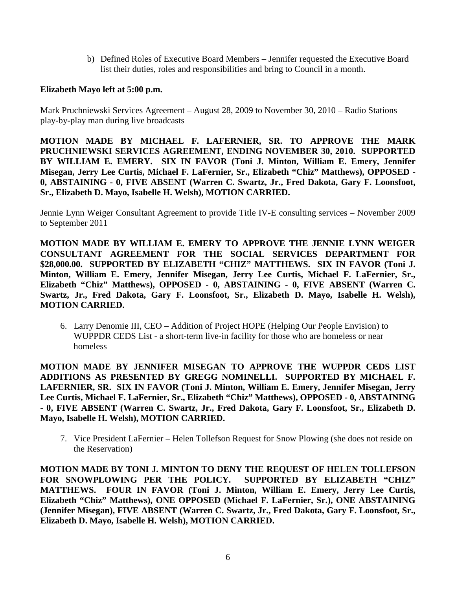b) Defined Roles of Executive Board Members – Jennifer requested the Executive Board list their duties, roles and responsibilities and bring to Council in a month.

## **Elizabeth Mayo left at 5:00 p.m.**

Mark Pruchniewski Services Agreement – August 28, 2009 to November 30, 2010 – Radio Stations play-by-play man during live broadcasts

**MOTION MADE BY MICHAEL F. LAFERNIER, SR. TO APPROVE THE MARK PRUCHNIEWSKI SERVICES AGREEMENT, ENDING NOVEMBER 30, 2010. SUPPORTED BY WILLIAM E. EMERY. SIX IN FAVOR (Toni J. Minton, William E. Emery, Jennifer Misegan, Jerry Lee Curtis, Michael F. LaFernier, Sr., Elizabeth "Chiz" Matthews), OPPOSED - 0, ABSTAINING - 0, FIVE ABSENT (Warren C. Swartz, Jr., Fred Dakota, Gary F. Loonsfoot, Sr., Elizabeth D. Mayo, Isabelle H. Welsh), MOTION CARRIED.**

Jennie Lynn Weiger Consultant Agreement to provide Title IV-E consulting services – November 2009 to September 2011

**MOTION MADE BY WILLIAM E. EMERY TO APPROVE THE JENNIE LYNN WEIGER CONSULTANT AGREEMENT FOR THE SOCIAL SERVICES DEPARTMENT FOR**  \$28,000.00. SUPPORTED BY ELIZABETH "CHIZ" MATTHEWS. SIX IN FAVOR (Toni J. **Minton, William E. Emery, Jennifer Misegan, Jerry Lee Curtis, Michael F. LaFernier, Sr., Elizabeth "Chiz" Matthews), OPPOSED - 0, ABSTAINING - 0, FIVE ABSENT (Warren C. Swartz, Jr., Fred Dakota, Gary F. Loonsfoot, Sr., Elizabeth D. Mayo, Isabelle H. Welsh), MOTION CARRIED.**

6. Larry Denomie III, CEO – Addition of Project HOPE (Helping Our People Envision) to WUPPDR CEDS List - a short-term live-in facility for those who are homeless or near homeless

**MOTION MADE BY JENNIFER MISEGAN TO APPROVE THE WUPPDR CEDS LIST ADDITIONS AS PRESENTED BY GREGG NOMINELLI. SUPPORTED BY MICHAEL F. LAFERNIER, SR. SIX IN FAVOR (Toni J. Minton, William E. Emery, Jennifer Misegan, Jerry Lee Curtis, Michael F. LaFernier, Sr., Elizabeth "Chiz" Matthews), OPPOSED - 0, ABSTAINING - 0, FIVE ABSENT (Warren C. Swartz, Jr., Fred Dakota, Gary F. Loonsfoot, Sr., Elizabeth D. Mayo, Isabelle H. Welsh), MOTION CARRIED.**

7. Vice President LaFernier – Helen Tollefson Request for Snow Plowing (she does not reside on the Reservation)

**MOTION MADE BY TONI J. MINTON TO DENY THE REQUEST OF HELEN TOLLEFSON FOR SNOWPLOWING PER THE POLICY. SUPPORTED BY ELIZABETH "CHIZ" MATTHEWS. FOUR IN FAVOR (Toni J. Minton, William E. Emery, Jerry Lee Curtis, Elizabeth "Chiz" Matthews), ONE OPPOSED (Michael F. LaFernier, Sr.), ONE ABSTAINING (Jennifer Misegan), FIVE ABSENT (Warren C. Swartz, Jr., Fred Dakota, Gary F. Loonsfoot, Sr., Elizabeth D. Mayo, Isabelle H. Welsh), MOTION CARRIED.**